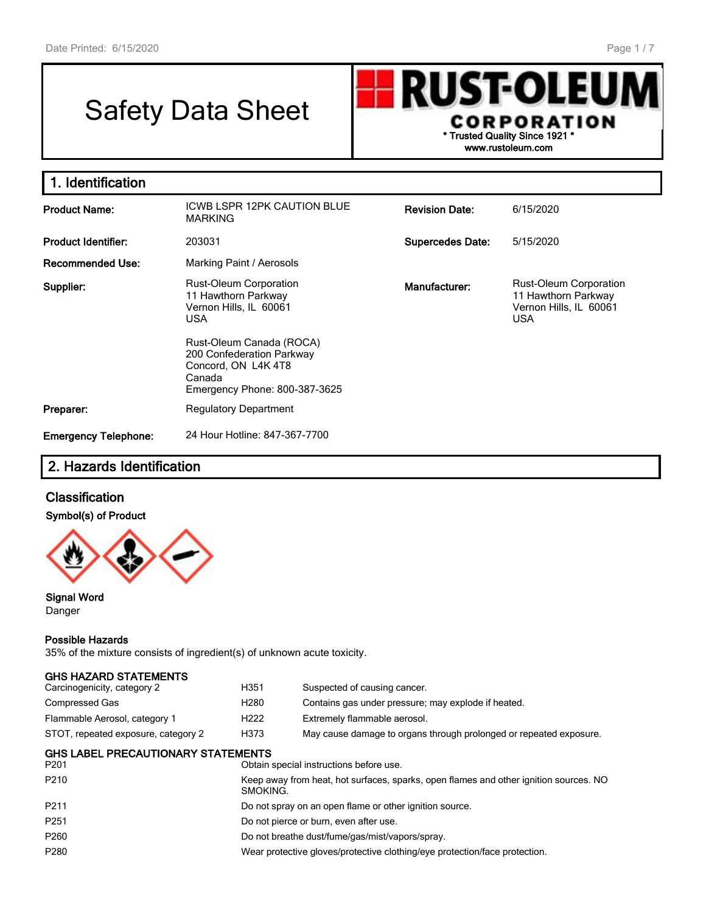# Safety Data Sheet



| 1. Identification           |                                                                                                                         |                         |                                                                                              |  |
|-----------------------------|-------------------------------------------------------------------------------------------------------------------------|-------------------------|----------------------------------------------------------------------------------------------|--|
| <b>Product Name:</b>        | ICWB LSPR 12PK CAUTION BLUE<br><b>MARKING</b>                                                                           | <b>Revision Date:</b>   | 6/15/2020                                                                                    |  |
| <b>Product Identifier:</b>  | 203031                                                                                                                  | <b>Supercedes Date:</b> | 5/15/2020                                                                                    |  |
| <b>Recommended Use:</b>     | Marking Paint / Aerosols                                                                                                |                         |                                                                                              |  |
| Supplier:                   | Rust-Oleum Corporation<br>11 Hawthorn Parkway<br>Vernon Hills, IL 60061<br><b>USA</b>                                   | Manufacturer:           | <b>Rust-Oleum Corporation</b><br>11 Hawthorn Parkway<br>Vernon Hills, IL 60061<br><b>USA</b> |  |
|                             | Rust-Oleum Canada (ROCA)<br>200 Confederation Parkway<br>Concord, ON L4K 4T8<br>Canada<br>Emergency Phone: 800-387-3625 |                         |                                                                                              |  |
| Preparer:                   | <b>Regulatory Department</b>                                                                                            |                         |                                                                                              |  |
| <b>Emergency Telephone:</b> | 24 Hour Hotline: 847-367-7700                                                                                           |                         |                                                                                              |  |

# 2. Hazards Identification

# **Classification**

## Symbol(s) of Product



Signal Word Danger

#### Possible Hazards

35% of the mixture consists of ingredient(s) of unknown acute toxicity.

| <b>GHS HAZARD STATEMENTS</b>                                  |                                                                                                   |                                                                            |  |
|---------------------------------------------------------------|---------------------------------------------------------------------------------------------------|----------------------------------------------------------------------------|--|
| Carcinogenicity, category 2                                   | H351                                                                                              | Suspected of causing cancer.                                               |  |
| <b>Compressed Gas</b>                                         | H <sub>280</sub>                                                                                  | Contains gas under pressure; may explode if heated.                        |  |
| Flammable Aerosol, category 1                                 | H <sub>222</sub>                                                                                  | Extremely flammable aerosol.                                               |  |
| STOT, repeated exposure, category 2                           | H373                                                                                              | May cause damage to organs through prolonged or repeated exposure.         |  |
| <b>GHS LABEL PRECAUTIONARY STATEMENTS</b><br>P <sub>201</sub> |                                                                                                   | Obtain special instructions before use.                                    |  |
| P <sub>210</sub>                                              | Keep away from heat, hot surfaces, sparks, open flames and other ignition sources. NO<br>SMOKING. |                                                                            |  |
| P <sub>211</sub>                                              |                                                                                                   | Do not spray on an open flame or other ignition source.                    |  |
| P <sub>251</sub>                                              |                                                                                                   | Do not pierce or burn, even after use.                                     |  |
| P <sub>260</sub>                                              | Do not breathe dust/fume/gas/mist/vapors/spray.                                                   |                                                                            |  |
| P <sub>280</sub>                                              |                                                                                                   | Wear protective gloves/protective clothing/eye protection/face protection. |  |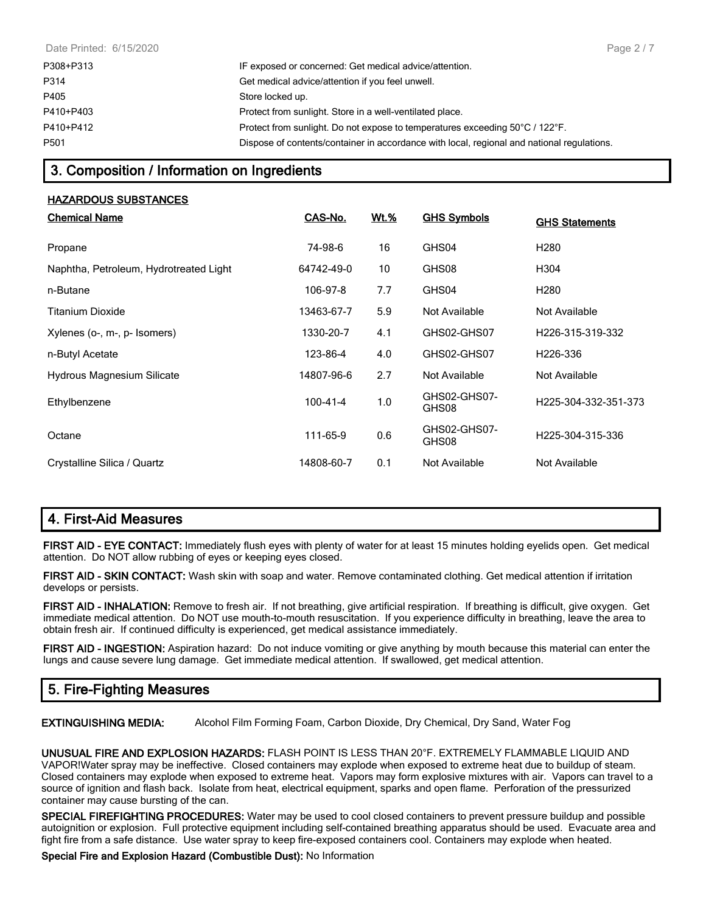| P308+P313 | IF exposed or concerned: Get medical advice/attention.                                     |
|-----------|--------------------------------------------------------------------------------------------|
| P314      | Get medical advice/attention if you feel unwell.                                           |
| P405      | Store locked up.                                                                           |
| P410+P403 | Protect from sunlight. Store in a well-ventilated place.                                   |
| P410+P412 | Protect from sunlight. Do not expose to temperatures exceeding 50°C / 122°F.               |
| P501      | Dispose of contents/container in accordance with local, regional and national regulations. |

# 3. Composition / Information on Ingredients

#### HAZARDOUS SUBSTANCES

| <b>Chemical Name</b>                   | CAS-No.    | <u>Wt.%</u> | <b>GHS Symbols</b>    | <b>GHS Statements</b>         |
|----------------------------------------|------------|-------------|-----------------------|-------------------------------|
| Propane                                | 74-98-6    | 16          | GHS04                 | H <sub>280</sub>              |
| Naphtha, Petroleum, Hydrotreated Light | 64742-49-0 | 10          | GHS08                 | H304                          |
| n-Butane                               | 106-97-8   | 7.7         | GHS04                 | H280                          |
| Titanium Dioxide                       | 13463-67-7 | 5.9         | Not Available         | Not Available                 |
| Xylenes (o-, m-, p- Isomers)           | 1330-20-7  | 4.1         | GHS02-GHS07           | H226-315-319-332              |
| n-Butyl Acetate                        | 123-86-4   | 4.0         | GHS02-GHS07           | H <sub>226</sub> -336         |
| Hydrous Magnesium Silicate             | 14807-96-6 | 2.7         | Not Available         | Not Available                 |
| Ethylbenzene                           | 100-41-4   | 1.0         | GHS02-GHS07-<br>GHS08 | H225-304-332-351-373          |
| Octane                                 | 111-65-9   | 0.6         | GHS02-GHS07-<br>GHS08 | H <sub>225</sub> -304-315-336 |
| Crystalline Silica / Quartz            | 14808-60-7 | 0.1         | Not Available         | Not Available                 |

# 4. First-Aid Measures

FIRST AID - EYE CONTACT: Immediately flush eyes with plenty of water for at least 15 minutes holding eyelids open. Get medical attention. Do NOT allow rubbing of eyes or keeping eyes closed.

FIRST AID - SKIN CONTACT: Wash skin with soap and water. Remove contaminated clothing. Get medical attention if irritation develops or persists.

FIRST AID - INHALATION: Remove to fresh air. If not breathing, give artificial respiration. If breathing is difficult, give oxygen. Get immediate medical attention. Do NOT use mouth-to-mouth resuscitation. If you experience difficulty in breathing, leave the area to obtain fresh air. If continued difficulty is experienced, get medical assistance immediately.

FIRST AID - INGESTION: Aspiration hazard: Do not induce vomiting or give anything by mouth because this material can enter the lungs and cause severe lung damage. Get immediate medical attention. If swallowed, get medical attention.

# 5. Fire-Fighting Measures

EXTINGUISHING MEDIA: Alcohol Film Forming Foam, Carbon Dioxide, Dry Chemical, Dry Sand, Water Fog

UNUSUAL FIRE AND EXPLOSION HAZARDS: FLASH POINT IS LESS THAN 20°F. EXTREMELY FLAMMABLE LIQUID AND VAPOR!Water spray may be ineffective. Closed containers may explode when exposed to extreme heat due to buildup of steam. Closed containers may explode when exposed to extreme heat. Vapors may form explosive mixtures with air. Vapors can travel to a source of ignition and flash back. Isolate from heat, electrical equipment, sparks and open flame. Perforation of the pressurized container may cause bursting of the can.

SPECIAL FIREFIGHTING PROCEDURES: Water may be used to cool closed containers to prevent pressure buildup and possible autoignition or explosion. Full protective equipment including self-contained breathing apparatus should be used. Evacuate area and fight fire from a safe distance. Use water spray to keep fire-exposed containers cool. Containers may explode when heated.

Special Fire and Explosion Hazard (Combustible Dust): No Information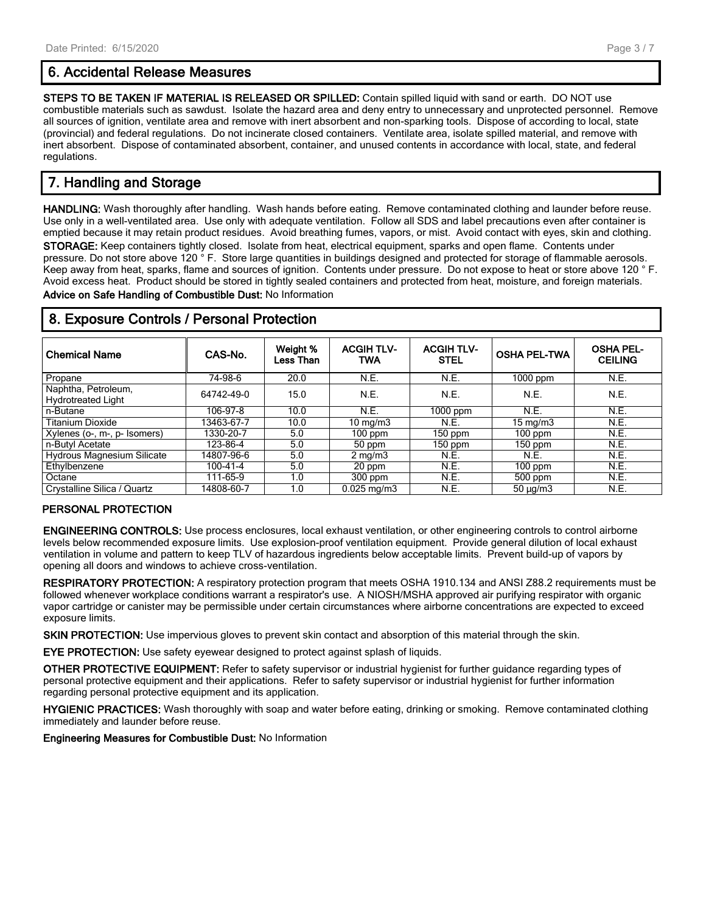# 6. Accidental Release Measures

STEPS TO BE TAKEN IF MATERIAL IS RELEASED OR SPILLED: Contain spilled liquid with sand or earth. DO NOT use combustible materials such as sawdust. Isolate the hazard area and deny entry to unnecessary and unprotected personnel. Remove all sources of ignition, ventilate area and remove with inert absorbent and non-sparking tools. Dispose of according to local, state (provincial) and federal regulations. Do not incinerate closed containers. Ventilate area, isolate spilled material, and remove with inert absorbent. Dispose of contaminated absorbent, container, and unused contents in accordance with local, state, and federal regulations.

# 7. Handling and Storage

HANDLING: Wash thoroughly after handling. Wash hands before eating. Remove contaminated clothing and launder before reuse. Use only in a well-ventilated area. Use only with adequate ventilation. Follow all SDS and label precautions even after container is emptied because it may retain product residues. Avoid breathing fumes, vapors, or mist. Avoid contact with eyes, skin and clothing. STORAGE: Keep containers tightly closed. Isolate from heat, electrical equipment, sparks and open flame. Contents under pressure. Do not store above 120 ° F. Store large quantities in buildings designed and protected for storage of flammable aerosols. Keep away from heat, sparks, flame and sources of ignition. Contents under pressure. Do not expose to heat or store above 120 ° F. Avoid excess heat. Product should be stored in tightly sealed containers and protected from heat, moisture, and foreign materials. Advice on Safe Handling of Combustible Dust: No Information

| <b>Chemical Name</b>                             | CAS-No.    | Weight %<br>Less Than | <b>ACGIH TLV-</b><br>TWA | <b>ACGIH TLV-</b><br><b>STEL</b> | <b>OSHA PEL-TWA</b> | <b>OSHA PEL-</b><br><b>CEILING</b> |  |
|--------------------------------------------------|------------|-----------------------|--------------------------|----------------------------------|---------------------|------------------------------------|--|
| Propane                                          | 74-98-6    | 20.0                  | N.E.                     | N.E.                             | $1000$ ppm          | N.E.                               |  |
| Naphtha, Petroleum,<br><b>Hydrotreated Light</b> | 64742-49-0 | 15.0                  | N.E.                     | N.E.                             | N.E.                | N.E.                               |  |
| n-Butane                                         | 106-97-8   | 10.0                  | N.E.                     | $1000$ ppm                       | N.E.                | N.E.                               |  |
| <b>Titanium Dioxide</b>                          | 13463-67-7 | 10.0                  | $10 \text{ mg/m}$        | N.E.                             | $15 \text{ mg/m}$   | N.E.                               |  |
| Xylenes (o-, m-, p- Isomers)                     | 1330-20-7  | 5.0                   | $100$ ppm                | $150$ ppm                        | $100$ ppm           | N.E.                               |  |
| n-Butyl Acetate                                  | 123-86-4   | 5.0                   | 50 ppm                   | 150 ppm                          | $150$ ppm           | N.E.                               |  |
| Hydrous Magnesium Silicate                       | 14807-96-6 | 5.0                   | $2 \text{ mg/m}$         | N.E.                             | N.E.                | N.E.                               |  |
| Ethylbenzene                                     | 100-41-4   | 5.0                   | 20 ppm                   | N.E.                             | $100$ ppm           | N.E.                               |  |
| . Octane                                         | 111-65-9   | 1.0                   | $300$ ppm                | N.E.                             | 500 ppm             | N.E.                               |  |
| Crystalline Silica / Quartz                      | 14808-60-7 | 1.0                   | $0.025$ mg/m $3$         | N.E.                             | $50 \mu q/m3$       | N.E.                               |  |

# 8. Exposure Controls / Personal Protection

## PERSONAL PROTECTION

ENGINEERING CONTROLS: Use process enclosures, local exhaust ventilation, or other engineering controls to control airborne levels below recommended exposure limits. Use explosion-proof ventilation equipment. Provide general dilution of local exhaust ventilation in volume and pattern to keep TLV of hazardous ingredients below acceptable limits. Prevent build-up of vapors by opening all doors and windows to achieve cross-ventilation.

RESPIRATORY PROTECTION: A respiratory protection program that meets OSHA 1910.134 and ANSI Z88.2 requirements must be followed whenever workplace conditions warrant a respirator's use. A NIOSH/MSHA approved air purifying respirator with organic vapor cartridge or canister may be permissible under certain circumstances where airborne concentrations are expected to exceed exposure limits.

SKIN PROTECTION: Use impervious gloves to prevent skin contact and absorption of this material through the skin.

EYE PROTECTION: Use safety eyewear designed to protect against splash of liquids.

OTHER PROTECTIVE EQUIPMENT: Refer to safety supervisor or industrial hygienist for further guidance regarding types of personal protective equipment and their applications. Refer to safety supervisor or industrial hygienist for further information regarding personal protective equipment and its application.

HYGIENIC PRACTICES: Wash thoroughly with soap and water before eating, drinking or smoking. Remove contaminated clothing immediately and launder before reuse.

Engineering Measures for Combustible Dust: No Information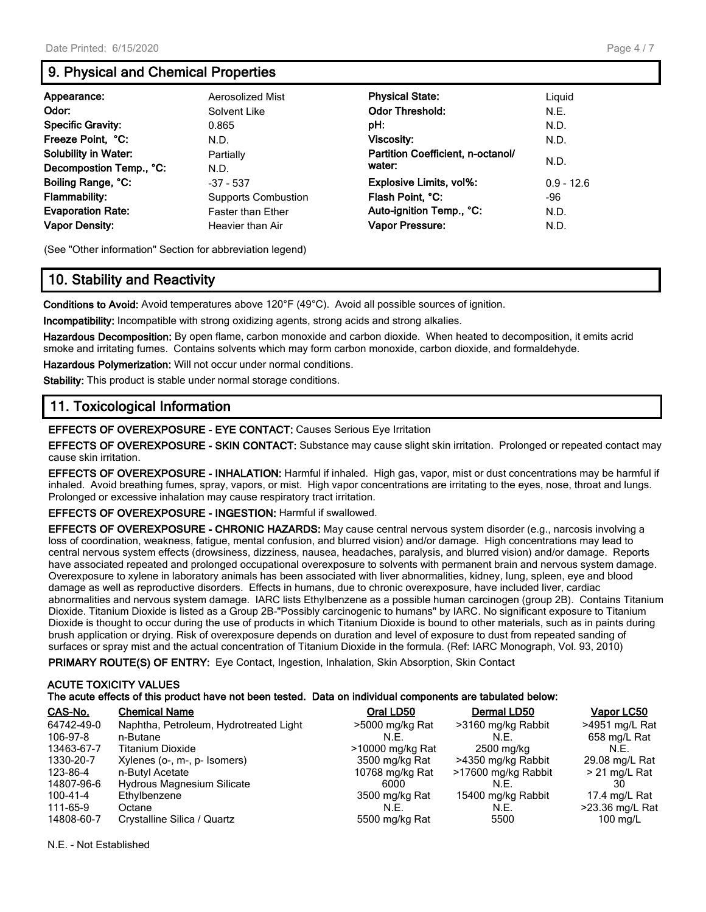# 9. Physical and Chemical Properties

| Appearance:                 | Aerosolized Mist           | <b>Physical State:</b>            | Liguid       |
|-----------------------------|----------------------------|-----------------------------------|--------------|
| Odor:                       | Solvent Like               | <b>Odor Threshold:</b>            | N.E.         |
| <b>Specific Gravity:</b>    | 0.865                      | pH:                               | N.D.         |
| Freeze Point, °C:           | N.D.                       | Viscosity:                        | N.D.         |
| <b>Solubility in Water:</b> | Partially                  | Partition Coefficient, n-octanol/ |              |
| Decompostion Temp., °C:     | N.D.                       | water:                            | N.D.         |
| Boiling Range, °C:          | $-37 - 537$                | Explosive Limits, vol%:           | $0.9 - 12.6$ |
| <b>Flammability:</b>        | <b>Supports Combustion</b> | Flash Point, °C:                  | -96          |
| <b>Evaporation Rate:</b>    | <b>Faster than Ether</b>   | Auto-ignition Temp., °C:          | N.D.         |
| <b>Vapor Density:</b>       | Heavier than Air           | Vapor Pressure:                   | N.D.         |

(See "Other information" Section for abbreviation legend)

# 10. Stability and Reactivity

Conditions to Avoid: Avoid temperatures above 120°F (49°C). Avoid all possible sources of ignition.

Incompatibility: Incompatible with strong oxidizing agents, strong acids and strong alkalies.

Hazardous Decomposition: By open flame, carbon monoxide and carbon dioxide. When heated to decomposition, it emits acrid smoke and irritating fumes. Contains solvents which may form carbon monoxide, carbon dioxide, and formaldehyde.

Hazardous Polymerization: Will not occur under normal conditions.

Stability: This product is stable under normal storage conditions.

# 11. Toxicological Information

EFFECTS OF OVEREXPOSURE - EYE CONTACT: Causes Serious Eye Irritation

EFFECTS OF OVEREXPOSURE - SKIN CONTACT: Substance may cause slight skin irritation. Prolonged or repeated contact may cause skin irritation.

EFFECTS OF OVEREXPOSURE - INHALATION: Harmful if inhaled. High gas, vapor, mist or dust concentrations may be harmful if inhaled. Avoid breathing fumes, spray, vapors, or mist. High vapor concentrations are irritating to the eyes, nose, throat and lungs. Prolonged or excessive inhalation may cause respiratory tract irritation.

EFFECTS OF OVEREXPOSURE - INGESTION: Harmful if swallowed.

EFFECTS OF OVEREXPOSURE - CHRONIC HAZARDS: May cause central nervous system disorder (e.g., narcosis involving a loss of coordination, weakness, fatigue, mental confusion, and blurred vision) and/or damage. High concentrations may lead to central nervous system effects (drowsiness, dizziness, nausea, headaches, paralysis, and blurred vision) and/or damage. Reports have associated repeated and prolonged occupational overexposure to solvents with permanent brain and nervous system damage. Overexposure to xylene in laboratory animals has been associated with liver abnormalities, kidney, lung, spleen, eye and blood damage as well as reproductive disorders. Effects in humans, due to chronic overexposure, have included liver, cardiac abnormalities and nervous system damage. IARC lists Ethylbenzene as a possible human carcinogen (group 2B). Contains Titanium Dioxide. Titanium Dioxide is listed as a Group 2B-"Possibly carcinogenic to humans" by IARC. No significant exposure to Titanium Dioxide is thought to occur during the use of products in which Titanium Dioxide is bound to other materials, such as in paints during brush application or drying. Risk of overexposure depends on duration and level of exposure to dust from repeated sanding of surfaces or spray mist and the actual concentration of Titanium Dioxide in the formula. (Ref: IARC Monograph, Vol. 93, 2010)

PRIMARY ROUTE(S) OF ENTRY: Eye Contact, Ingestion, Inhalation, Skin Absorption, Skin Contact

#### ACUTE TOXICITY VALUES The acute effects of this product have not been tested. Data on individual components are tabulated below:

| CAS-No.    | <b>Chemical Name</b>                   | Oral LD50        | Dermal LD50         | Vapor LC50         |
|------------|----------------------------------------|------------------|---------------------|--------------------|
| 64742-49-0 | Naphtha, Petroleum, Hydrotreated Light | >5000 mg/kg Rat  | >3160 mg/kg Rabbit  | >4951 mg/L Rat     |
| 106-97-8   | n-Butane                               | N.F.             | N.E.                | 658 mg/L Rat       |
| 13463-67-7 | <b>Titanium Dioxide</b>                | >10000 mg/kg Rat | 2500 mg/kg          | N.E.               |
| 1330-20-7  | Xylenes (o-, m-, p- Isomers)           | 3500 mg/kg Rat   | >4350 mg/kg Rabbit  | 29.08 mg/L Rat     |
| 123-86-4   | n-Butyl Acetate                        | 10768 mg/kg Rat  | >17600 mg/kg Rabbit | $> 21$ mg/L Rat    |
| 14807-96-6 | Hydrous Magnesium Silicate             | 6000             | N.E.                | 30                 |
| 100-41-4   | Ethylbenzene                           | 3500 mg/kg Rat   | 15400 mg/kg Rabbit  | 17.4 mg/L Rat      |
| 111-65-9   | Octane                                 | N.E.             | N.E.                | >23.36 mg/L Rat    |
| 14808-60-7 | Crystalline Silica / Quartz            | 5500 mg/kg Rat   | 5500                | $100 \text{ mg/L}$ |

N.E. - Not Established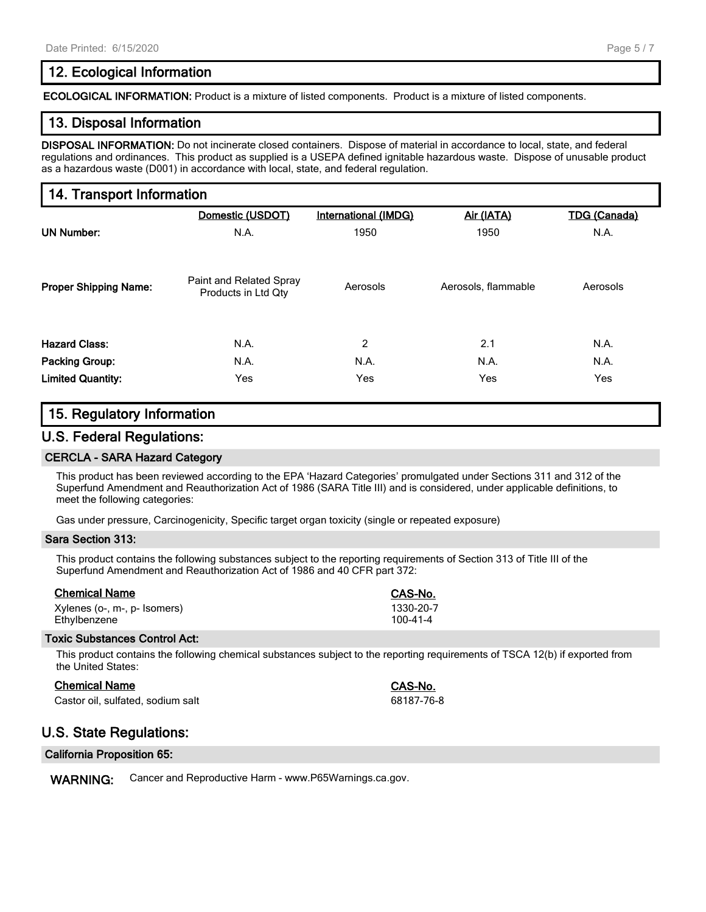# 12. Ecological Information

ECOLOGICAL INFORMATION: Product is a mixture of listed components. Product is a mixture of listed components.

# 13. Disposal Information

DISPOSAL INFORMATION: Do not incinerate closed containers. Dispose of material in accordance to local, state, and federal regulations and ordinances. This product as supplied is a USEPA defined ignitable hazardous waste. Dispose of unusable product as a hazardous waste (D001) in accordance with local, state, and federal regulation.

# 14. Transport Information

|                              | Domestic (USDOT)                               | International (IMDG) | Air (IATA)          | <b>TDG (Canada)</b> |
|------------------------------|------------------------------------------------|----------------------|---------------------|---------------------|
| UN Number:                   | N.A.                                           | 1950                 | 1950                | N.A.                |
| <b>Proper Shipping Name:</b> | Paint and Related Spray<br>Products in Ltd Qty | Aerosols             | Aerosols, flammable | Aerosols            |
| <b>Hazard Class:</b>         | N.A.                                           | $\overline{2}$       | 2.1                 | N.A.                |
| <b>Packing Group:</b>        | N.A.                                           | N.A.                 | N.A.                | N.A.                |
| <b>Limited Quantity:</b>     | Yes                                            | Yes                  | Yes                 | Yes                 |

## 15. Regulatory Information

## U.S. Federal Regulations:

#### CERCLA - SARA Hazard Category

This product has been reviewed according to the EPA 'Hazard Categories' promulgated under Sections 311 and 312 of the Superfund Amendment and Reauthorization Act of 1986 (SARA Title III) and is considered, under applicable definitions, to meet the following categories:

Gas under pressure, Carcinogenicity, Specific target organ toxicity (single or repeated exposure)

#### Sara Section 313:

This product contains the following substances subject to the reporting requirements of Section 313 of Title III of the Superfund Amendment and Reauthorization Act of 1986 and 40 CFR part 372:

| <b>Chemical Name</b>         | CAS-No.        |
|------------------------------|----------------|
| Xylenes (o-, m-, p- Isomers) | 1330-20-7      |
| Ethylbenzene                 | $100 - 41 - 4$ |

#### Toxic Substances Control Act:

This product contains the following chemical substances subject to the reporting requirements of TSCA 12(b) if exported from the United States:

| <b>Chemical Name</b>              | <b>CAS-No.</b> |
|-----------------------------------|----------------|
| Castor oil, sulfated, sodium salt | 68187-76       |

## U.S. State Regulations:

#### California Proposition 65:

WARNING: Cancer and Reproductive Harm - www.P65Warnings.ca.gov.

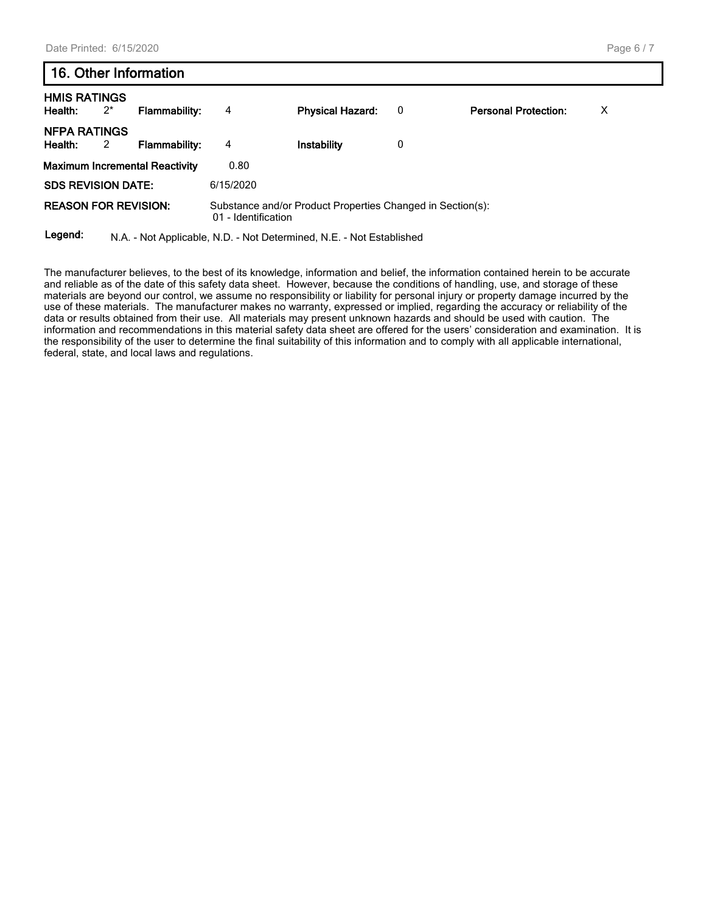| 16. Other Information          |       |                                       |                     |                                                                      |   |                             |   |
|--------------------------------|-------|---------------------------------------|---------------------|----------------------------------------------------------------------|---|-----------------------------|---|
| <b>HMIS RATINGS</b><br>Health: | $2^*$ | <b>Flammability:</b>                  | 4                   | <b>Physical Hazard:</b>                                              | 0 | <b>Personal Protection:</b> | х |
| <b>NFPA RATINGS</b><br>Health: | 2     | <b>Flammability:</b>                  | 4                   | Instability                                                          | 0 |                             |   |
|                                |       | <b>Maximum Incremental Reactivity</b> | 0.80                |                                                                      |   |                             |   |
| <b>SDS REVISION DATE:</b>      |       |                                       | 6/15/2020           |                                                                      |   |                             |   |
| <b>REASON FOR REVISION:</b>    |       |                                       | 01 - Identification | Substance and/or Product Properties Changed in Section(s):           |   |                             |   |
| Legend:                        |       |                                       |                     | N.A. - Not Applicable, N.D. - Not Determined, N.E. - Not Established |   |                             |   |

The manufacturer believes, to the best of its knowledge, information and belief, the information contained herein to be accurate and reliable as of the date of this safety data sheet. However, because the conditions of handling, use, and storage of these materials are beyond our control, we assume no responsibility or liability for personal injury or property damage incurred by the use of these materials. The manufacturer makes no warranty, expressed or implied, regarding the accuracy or reliability of the data or results obtained from their use. All materials may present unknown hazards and should be used with caution. The information and recommendations in this material safety data sheet are offered for the users' consideration and examination. It is the responsibility of the user to determine the final suitability of this information and to comply with all applicable international, federal, state, and local laws and regulations.